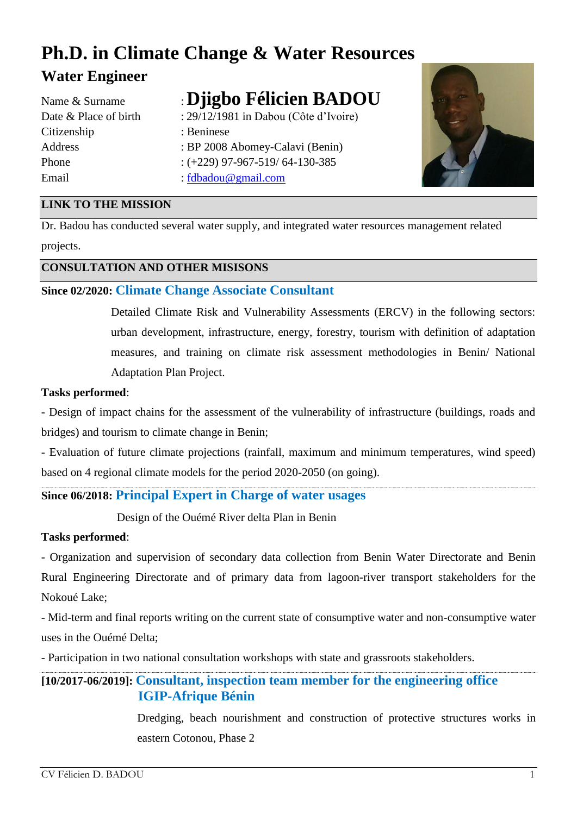# **Ph.D. in Climate Change & Water Resources Water Engineer**

: [fdbadou@gmail.com](mailto:fdbadou@gmail.com)

| Name & Surname        |
|-----------------------|
| Date & Place of birth |
| Citizenship           |
| Address               |
| Phone                 |
| Email                 |

## **: Djigbo Félicien BADOU**

- : 29/12/1981 in Dabou (Côte d'Ivoire) : Beninese : BP 2008 Abomey-Calavi (Benin)  $: (+229)$  97-967-519/ 64-130-385
- 

## **LINK TO THE MISSION**

Dr. Badou has conducted several water supply, and integrated water resources management related projects.

## **CONSULTATION AND OTHER MISISONS**

## **Since 02/2020: Climate Change Associate Consultant**

Detailed Climate Risk and Vulnerability Assessments (ERCV) in the following sectors: urban development, infrastructure, energy, forestry, tourism with definition of adaptation measures, and training on climate risk assessment methodologies in Benin/ National Adaptation Plan Project.

#### **Tasks performed**:

- Design of impact chains for the assessment of the vulnerability of infrastructure (buildings, roads and bridges) and tourism to climate change in Benin;

- Evaluation of future climate projections (rainfall, maximum and minimum temperatures, wind speed) based on 4 regional climate models for the period 2020-2050 (on going).

## **Since 06/2018: Principal Expert in Charge of water usages**

Design of the Ouémé River delta Plan in Benin

## **Tasks performed**:

- Organization and supervision of secondary data collection from Benin Water Directorate and Benin Rural Engineering Directorate and of primary data from lagoon-river transport stakeholders for the Nokoué Lake;

- Mid-term and final reports writing on the current state of consumptive water and non-consumptive water uses in the Ouémé Delta;

- Participation in two national consultation workshops with state and grassroots stakeholders.

## **[10/2017-06/2019]: Consultant, inspection team member for the engineering office IGIP-Afrique Bénin**

Dredging, beach nourishment and construction of protective structures works in eastern Cotonou, Phase 2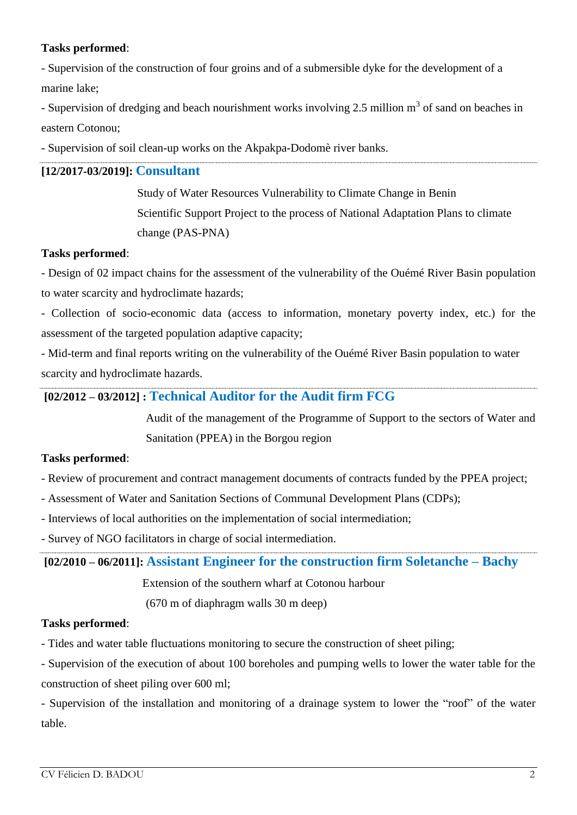## **Tasks performed**:

- Supervision of the construction of four groins and of a submersible dyke for the development of a marine lake;

- Supervision of dredging and beach nourishment works involving 2.5 million  $m<sup>3</sup>$  of sand on beaches in eastern Cotonou;

- Supervision of soil clean-up works on the Akpakpa-Dodomè river banks.

## **[12/2017-03/2019]: Consultant**

 Study of Water Resources Vulnerability to Climate Change in Benin Scientific Support Project to the process of National Adaptation Plans to climate change (PAS-PNA)

## **Tasks performed**:

- Design of 02 impact chains for the assessment of the vulnerability of the Ouémé River Basin population to water scarcity and hydroclimate hazards;

- Collection of socio-economic data (access to information, monetary poverty index, etc.) for the assessment of the targeted population adaptive capacity;

- Mid-term and final reports writing on the vulnerability of the Ouémé River Basin population to water scarcity and hydroclimate hazards.

## **[02/2012 – 03/2012] : Technical Auditor for the Audit firm FCG**

Audit of the management of the Programme of Support to the sectors of Water and Sanitation (PPEA) in the Borgou region

## **Tasks performed**:

- Review of procurement and contract management documents of contracts funded by the PPEA project;

- Assessment of Water and Sanitation Sections of Communal Development Plans (CDPs);
- Interviews of local authorities on the implementation of social intermediation;

- Survey of NGO facilitators in charge of social intermediation.

**[02/2010 – 06/2011]: Assistant Engineer for the construction firm Soletanche – Bachy**

Extension of the southern wharf at Cotonou harbour

(670 m of diaphragm walls 30 m deep)

## **Tasks performed**:

- Tides and water table fluctuations monitoring to secure the construction of sheet piling;

- Supervision of the execution of about 100 boreholes and pumping wells to lower the water table for the construction of sheet piling over 600 ml;

- Supervision of the installation and monitoring of a drainage system to lower the "roof" of the water table.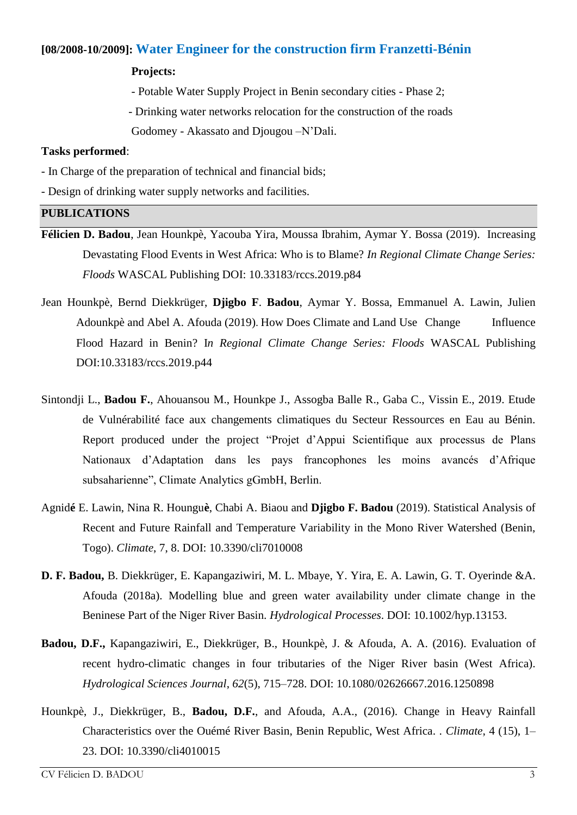## **[08/2008-10/2009]: Water Engineer for the construction firm Franzetti-Bénin**

#### **Projects:**

- Potable Water Supply Project in Benin secondary cities - Phase 2;

 - Drinking water networks relocation for the construction of the roads Godomey - Akassato and Djougou –N'Dali.

#### **Tasks performed**:

- In Charge of the preparation of technical and financial bids;
- Design of drinking water supply networks and facilities.

#### **PUBLICATIONS**

- **Félicien D. Badou**, Jean Hounkpè, Yacouba Yira, Moussa Ibrahim, Aymar Y. Bossa (2019). Increasing Devastating Flood Events in West Africa: Who is to Blame? *In Regional Climate Change Series: Floods* WASCAL Publishing DOI: 10.33183/rccs.2019.p84
- Jean Hounkpè, Bernd Diekkrüger, **Djigbo F**. **Badou**, Aymar Y. Bossa, Emmanuel A. Lawin, Julien Adounkpè and Abel A. Afouda (2019). How Does Climate and Land Use Change Influence Flood Hazard in Benin? I*n Regional Climate Change Series: Floods* WASCAL Publishing DOI:10.33183/rccs.2019.p44
- Sintondji L., **Badou F.**, Ahouansou M., Hounkpe J., Assogba Balle R., Gaba C., Vissin E., 2019. Etude de Vulnérabilité face aux changements climatiques du Secteur Ressources en Eau au Bénin. Report produced under the project "Projet d'Appui Scientifique aux processus de Plans Nationaux d'Adaptation dans les pays francophones les moins avancés d'Afrique subsaharienne", Climate Analytics gGmbH, Berlin.
- Agnid**é** E. Lawin, Nina R. Houngu**è**, Chabi A. Biaou and **Djigbo F. Badou** (2019). Statistical Analysis of Recent and Future Rainfall and Temperature Variability in the Mono River Watershed (Benin, Togo). *Climate*, 7, 8. DOI: 10.3390/cli7010008
- **D. F. Badou,** B. Diekkrüger, E. Kapangaziwiri, M. L. Mbaye, Y. Yira, E. A. Lawin, G. T. Oyerinde &A. Afouda (2018a). Modelling blue and green water availability under climate change in the Beninese Part of the Niger River Basin. *Hydrological Processes*. DOI: 10.1002/hyp.13153.
- **Badou, D.F.,** Kapangaziwiri, E., Diekkrüger, B., Hounkpè, J. & Afouda, A. A. (2016). Evaluation of recent hydro-climatic changes in four tributaries of the Niger River basin (West Africa). *Hydrological Sciences Journal*, *62*(5), 715–728. DOI: 10.1080/02626667.2016.1250898
- Hounkpè, J., Diekkrüger, B., **Badou, D.F.**, and Afouda, A.A., (2016). Change in Heavy Rainfall Characteristics over the Ouémé River Basin, Benin Republic, West Africa. . *Climate*, 4 (15), 1– 23. DOI: 10.3390/cli4010015